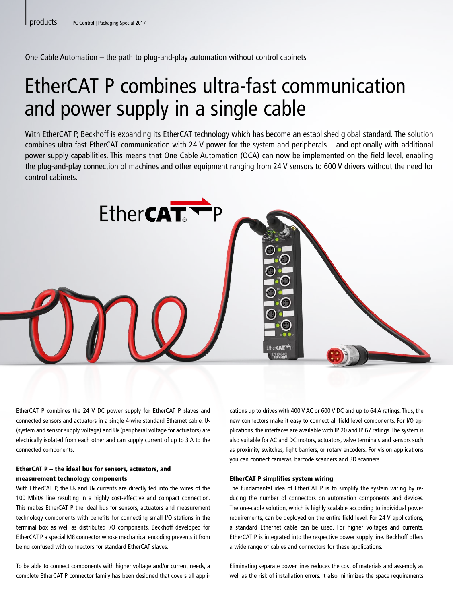One Cable Automation – the path to plug-and-play automation without control cabinets

# EtherCAT P combines ultra-fast communication and power supply in a single cable

With EtherCAT P, Beckhoff is expanding its EtherCAT technology which has become an established global standard. The solution combines ultra-fast EtherCAT communication with 24 V power for the system and peripherals – and optionally with additional power supply capabilities. This means that One Cable Automation (OCA) can now be implemented on the field level, enabling the plug-and-play connection of machines and other equipment ranging from 24 V sensors to 600 V drivers without the need for control cabinets.



EtherCAT P combines the 24 V DC power supply for EtherCAT P slaves and connected sensors and actuators in a single 4-wire standard Ethernet cable. U**<sup>S</sup>** (system and sensor supply voltage) and U**P** (peripheral voltage for actuators) are electrically isolated from each other and can supply current of up to 3 A to the connected components.

# EtherCAT P – the ideal bus for sensors, actuators, and measurement technology components

With EtherCAT P, the U<sub>s</sub> and U<sub>P</sub> currents are directly fed into the wires of the 100 Mbit/s line resulting in a highly cost-effective and compact connection. This makes EtherCAT P the ideal bus for sensors, actuators and measurement technology components with benefits for connecting small I/O stations in the terminal box as well as distributed I/O components. Beckhoff developed for EtherCAT P a special M8 connector whose mechanical encoding prevents it from being confused with connectors for standard EtherCAT slaves.

To be able to connect components with higher voltage and/or current needs, a complete EtherCAT P connector family has been designed that covers all applications up to drives with 400 V AC or 600 V DC and up to 64 A ratings. Thus, the new connectors make it easy to connect all field level components. For I/O applications, the interfaces are available with IP 20 and IP 67 ratings. The system is also suitable for AC and DC motors, actuators, valve terminals and sensors such as proximity switches, light barriers, or rotary encoders. For vision applications you can connect cameras, barcode scanners and 3D scanners.

## EtherCAT P simplifies system wiring

The fundamental idea of EtherCAT P is to simplify the system wiring by reducing the number of connectors on automation components and devices. The one-cable solution, which is highly scalable according to individual power requirements, can be deployed on the entire field level. For 24 V applications, a standard Ethernet cable can be used. For higher voltages and currents, EtherCAT P is integrated into the respective power supply line. Beckhoff offers a wide range of cables and connectors for these applications.

Eliminating separate power lines reduces the cost of materials and assembly as well as the risk of installation errors. It also minimizes the space requirements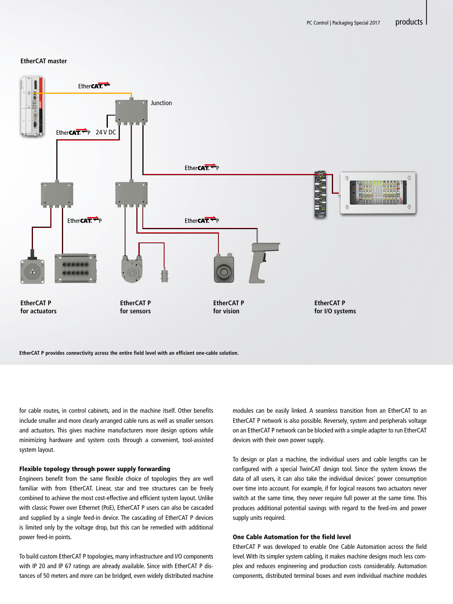|

#### **EtherCAT master**



**EtherCAT P provides connectivity across the entire field level with an efficient one-cable solution.**

for cable routes, in control cabinets, and in the machine itself. Other benefits include smaller and more clearly arranged cable runs as well as smaller sensors and actuators. This gives machine manufacturers more design options while minimizing hardware and system costs through a convenient, tool-assisted system layout.

#### Flexible topology through power supply forwarding

Engineers benefit from the same flexible choice of topologies they are well familiar with from EtherCAT. Linear, star and tree structures can be freely combined to achieve the most cost-effective and efficient system layout. Unlike with classic Power over Ethernet (PoE), EtherCAT P users can also be cascaded and supplied by a single feed-in device. The cascading of EtherCAT P devices is limited only by the voltage drop, but this can be remedied with additional power feed-in points.

To build custom EtherCAT P topologies, many infrastructure and I/O components with IP 20 and IP 67 ratings are already available. Since with EtherCAT P distances of 50 meters and more can be bridged, even widely distributed machine modules can be easily linked. A seamless transition from an EtherCAT to an EtherCAT P network is also possible. Reversely, system and peripherals voltage on an EtherCAT P network can be blocked with a simple adapter to run EtherCAT devices with their own power supply.

To design or plan a machine, the individual users and cable lengths can be configured with a special TwinCAT design tool. Since the system knows the data of all users, it can also take the individual devices' power consumption over time into account. For example, if for logical reasons two actuators never switch at the same time, they never require full power at the same time. This produces additional potential savings with regard to the feed-ins and power supply units required.

### One Cable Automation for the field level

EtherCAT P was developed to enable One Cable Automation across the field level. With its simpler system cabling, it makes machine designs much less complex and reduces engineering and production costs considerably. Automation components, distributed terminal boxes and even individual machine modules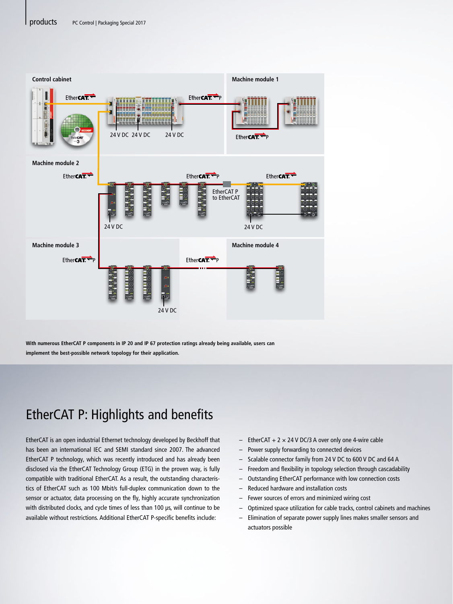

**With numerous EtherCAT P components in IP 20 and IP 67 protection ratings already being available, users can implement the best-possible network topology for their application.**

# EtherCAT P: Highlights and benefits

EtherCAT is an open industrial Ethernet technology developed by Beckhoff that has been an international IEC and SEMI standard since 2007. The advanced EtherCAT P technology, which was recently introduced and has already been disclosed via the EtherCAT Technology Group (ETG) in the proven way, is fully compatible with traditional EtherCAT. As a result, the outstanding characteristics of EtherCAT such as 100 Mbit/s full-duplex communication down to the sensor or actuator, data processing on the fly, highly accurate synchronization with distributed clocks, and cycle times of less than 100 µs, will continue to be available without restrictions. Additional EtherCAT P-specific benefits include:

- $-$  EtherCAT + 2  $\times$  24 V DC/3 A over only one 4-wire cable
- Power supply forwarding to connected devices
- Scalable connector family from 24 V DC to 600 V DC and 64 A
- Freedom and flexibility in topology selection through cascadability
- Outstanding EtherCAT performance with low connection costs
- Reduced hardware and installation costs
- Fewer sources of errors and minimized wiring cost
- Optimized space utilization for cable tracks, control cabinets and machines
- Elimination of separate power supply lines makes smaller sensors and actuators possible